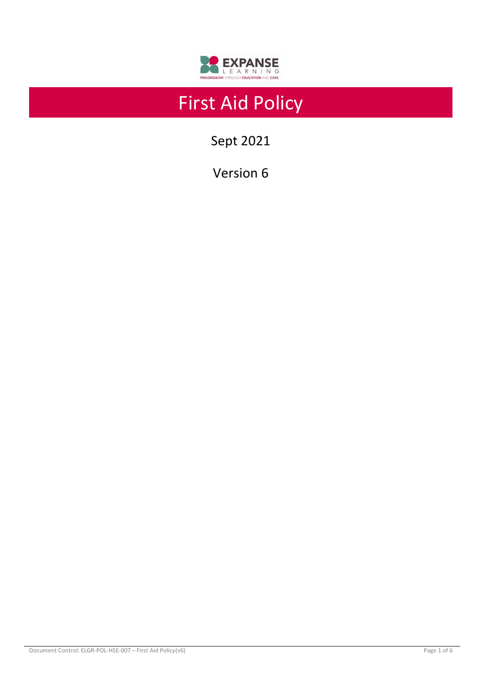

# First Aid Policy

Sept 2021

Version 6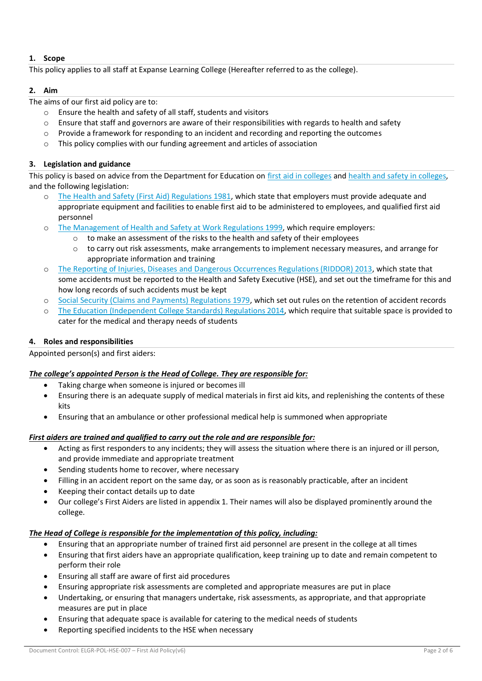# **1. Scope**

This policy applies to all staff at Expanse Learning College (Hereafter referred to as the college).

#### **2. Aim**

The aims of our first aid policy are to:

- o Ensure the health and safety of all staff, students and visitors
- $\circ$  Ensure that staff and governors are aware of their responsibilities with regards to health and safety
- o Provide a framework for responding to an incident and recording and reporting the outcomes
- o This policy complies with our funding agreement and articles of association

# **3. Legislation and guidance**

This policy is based on advice from the Department for Education on [first aid in colleges](https://www.gov.uk/government/publications/first-aid-in-schools) an[d health and safety in colleges,](https://www.gov.uk/government/publications/health-and-safety-advice-for-schools) and the following legislation:

- [The Health and Safety \(First Aid\) Regulations 1981,](http://www.legislation.gov.uk/uksi/1981/917/regulation/3/made) which state that employers must provide adequate and appropriate equipment and facilities to enable first aid to be administered to employees, and qualified first aid personnel
- o [The Management of Health and Safety at Work Regulations 1999,](http://www.legislation.gov.uk/uksi/1992/2051/regulation/3/made) which require employers:
	- $\circ$  to make an assessment of the risks to the health and safety of their employees
	- $\circ$  to carry out risk assessments, make arrangements to implement necessary measures, and arrange for appropriate information and training
- o The Reporting of Injuries, Diseases [and Dangerous Occurrences Regulations \(RIDDOR\) 2013,](http://www.legislation.gov.uk/uksi/2013/1471/schedule/1/paragraph/1/made) which state that some accidents must be reported to the Health and Safety Executive (HSE), and set out the timeframe for this and how long records of such accidents must be kept
- o [Social Security \(Claims and Payments\) Regulations 1979,](http://www.legislation.gov.uk/uksi/1979/628) which set out rules on the retention of accident records
- o [The Education \(Independent College](http://www.legislation.gov.uk/uksi/2014/3283/schedule/made) Standards) Regulations 2014, which require that suitable space is provided to cater for the medical and therapy needs of students

# **4. Roles and responsibilities**

Appointed person(s) and first aiders:

# *The college's appointed Person is the Head of College. They are responsible for:*

- Taking charge when someone is injured or becomes ill
- Ensuring there is an adequate supply of medical materials in first aid kits, and replenishing the contents of these kits
- Ensuring that an ambulance or other professional medical help is summoned when appropriate

# *First aiders are trained and qualified to carry out the role and are responsible for:*

- Acting as first responders to any incidents; they will assess the situation where there is an injured or ill person, and provide immediate and appropriate treatment
- Sending students home to recover, where necessary
- Filling in an accident report on the same day, or as soon as is reasonably practicable, after an incident
- Keeping their contact details up to date
- Our college's First Aiders are listed in appendix 1. Their names will also be displayed prominently around the college.

# *The Head of College is responsible for the implementation of this policy, including:*

- Ensuring that an appropriate number of trained first aid personnel are present in the college at all times
- Ensuring that first aiders have an appropriate qualification, keep training up to date and remain competent to perform their role
- Ensuring all staff are aware of first aid procedures
- Ensuring appropriate risk assessments are completed and appropriate measures are put in place
- Undertaking, or ensuring that managers undertake, risk assessments, as appropriate, and that appropriate measures are put in place
- Ensuring that adequate space is available for catering to the medical needs of students
- Reporting specified incidents to the HSE when necessary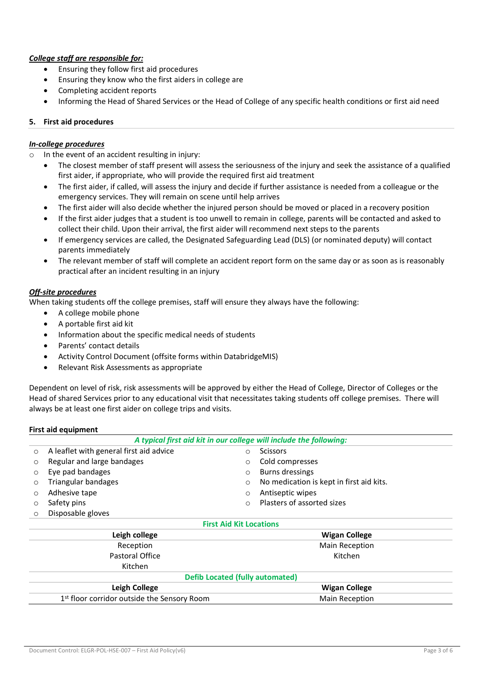# *College staff are responsible for:*

- Ensuring they follow first aid procedures
- Ensuring they know who the first aiders in college are
- Completing accident reports
- Informing the Head of Shared Services or the Head of College of any specific health conditions or first aid need

#### **5. First aid procedures**

#### *In-college procedures*

- o In the event of an accident resulting in injury:
	- The closest member of staff present will assess the seriousness of the injury and seek the assistance of a qualified first aider, if appropriate, who will provide the required first aid treatment
	- The first aider, if called, will assess the injury and decide if further assistance is needed from a colleague or the emergency services. They will remain on scene until help arrives
	- The first aider will also decide whether the injured person should be moved or placed in a recovery position
	- If the first aider judges that a student is too unwell to remain in college, parents will be contacted and asked to collect their child. Upon their arrival, the first aider will recommend next steps to the parents
	- If emergency services are called, the Designated Safeguarding Lead (DLS) (or nominated deputy) will contact parents immediately
	- The relevant member of staff will complete an accident report form on the same day or as soon as is reasonably practical after an incident resulting in an injury

#### *Off-site procedures*

When taking students off the college premises, staff will ensure they always have the following:

- A college mobile phone
- A portable first aid kit
- Information about the specific medical needs of students
- Parents' contact details
- Activity Control Document (offsite forms within DatabridgeMIS)
- Relevant Risk Assessments as appropriate

Dependent on level of risk, risk assessments will be approved by either the Head of College, Director of Colleges or the Head of shared Services prior to any educational visit that necessitates taking students off college premises. There will always be at least one first aider on college trips and visits.

#### **First aid equipment**

| A typical first aid kit in our college will include the following: |                                                                      |                       |                            |  |  |  |  |  |  |
|--------------------------------------------------------------------|----------------------------------------------------------------------|-----------------------|----------------------------|--|--|--|--|--|--|
| $\circ$                                                            | A leaflet with general first aid advice                              | $\circ$               | <b>Scissors</b>            |  |  |  |  |  |  |
| $\circ$                                                            | Regular and large bandages<br>Cold compresses<br>$\circ$             |                       |                            |  |  |  |  |  |  |
| $\circ$                                                            | Burns dressings<br>Eye pad bandages<br>$\circ$                       |                       |                            |  |  |  |  |  |  |
| $\circ$                                                            | Triangular bandages<br>No medication is kept in first aid kits.<br>O |                       |                            |  |  |  |  |  |  |
| $\circ$                                                            | Adhesive tape                                                        | Antiseptic wipes<br>O |                            |  |  |  |  |  |  |
| $\circ$                                                            | Safety pins                                                          | $\Omega$              | Plasters of assorted sizes |  |  |  |  |  |  |
| $\circ$                                                            | Disposable gloves                                                    |                       |                            |  |  |  |  |  |  |
| <b>First Aid Kit Locations</b>                                     |                                                                      |                       |                            |  |  |  |  |  |  |
| Leigh college                                                      |                                                                      |                       | <b>Wigan College</b>       |  |  |  |  |  |  |
| Reception                                                          |                                                                      |                       | Main Reception             |  |  |  |  |  |  |
| Pastoral Office                                                    |                                                                      |                       | Kitchen                    |  |  |  |  |  |  |
|                                                                    | Kitchen                                                              |                       |                            |  |  |  |  |  |  |
| <b>Defib Located (fully automated)</b>                             |                                                                      |                       |                            |  |  |  |  |  |  |
|                                                                    | Leigh College                                                        |                       | <b>Wigan College</b>       |  |  |  |  |  |  |
|                                                                    | 1 <sup>st</sup> floor corridor outside the Sensory Room              | <b>Main Reception</b> |                            |  |  |  |  |  |  |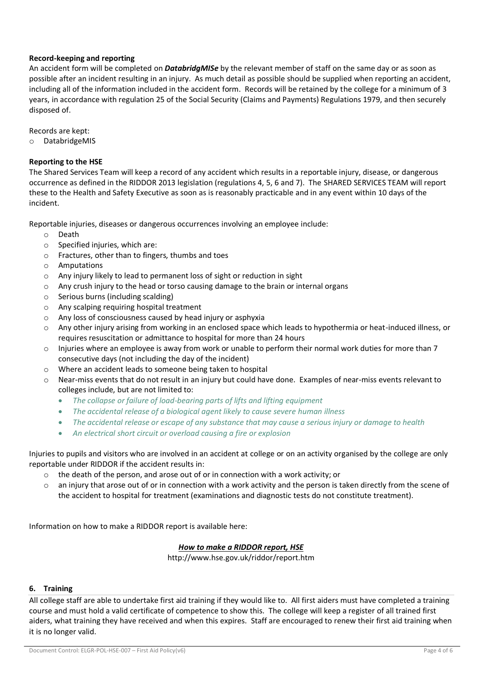#### **Record-keeping and reporting**

An accident form will be completed on *DatabridgMISe* by the relevant member of staff on the same day or as soon as possible after an incident resulting in an injury. As much detail as possible should be supplied when reporting an accident, including all of the information included in the accident form. Records will be retained by the college for a minimum of 3 years, in accordance with regulation 25 of the Social Security (Claims and Payments) Regulations 1979, and then securely disposed of.

Records are kept:

o DatabridgeMIS

### **Reporting to the HSE**

The Shared Services Team will keep a record of any accident which results in a reportable injury, disease, or dangerous occurrence as defined in the RIDDOR 2013 legislation (regulations 4, 5, 6 and 7). The SHARED SERVICES TEAM will report these to the Health and Safety Executive as soon as is reasonably practicable and in any event within 10 days of the incident.

Reportable injuries, diseases or dangerous occurrences involving an employee include:

- o Death
- $\circ$  Specified injuries, which are:
- o Fractures, other than to fingers, thumbs and toes
- o Amputations
- o Any injury likely to lead to permanent loss of sight or reduction in sight
- o Any crush injury to the head or torso causing damage to the brain or internal organs
- o Serious burns (including scalding)
- o Any scalping requiring hospital treatment
- o Any loss of consciousness caused by head injury or asphyxia
- o Any other injury arising from working in an enclosed space which leads to hypothermia or heat-induced illness, or requires resuscitation or admittance to hospital for more than 24 hours
- o Injuries where an employee is away from work or unable to perform their normal work duties for more than 7 consecutive days (not including the day of the incident)
- o Where an accident leads to someone being taken to hospital
- o Near-miss events that do not result in an injury but could have done. Examples of near-miss events relevant to colleges include, but are not limited to:
	- *The collapse or failure of load-bearing parts of lifts and lifting equipment*
	- *The accidental release of a biological agent likely to cause severe human illness*
	- *The accidental release or escape of any substance that may cause a serious injury or damage to health*
	- *An electrical short circuit or overload causing a fire or explosion*

Injuries to pupils and visitors who are involved in an accident at college or on an activity organised by the college are only reportable under RIDDOR if the accident results in:

- $\circ$  the death of the person, and arose out of or in connection with a work activity; or
- $\circ$  an injury that arose out of or in connection with a work activity and the person is taken directly from the scene of the accident to hospital for treatment (examinations and diagnostic tests do not constitute treatment).

Information on how to make a RIDDOR report is available here:

#### *[How to make a RIDDOR report, HSE](http://www.hse.gov.uk/riddor/report.htm)*

http://www.hse.gov.uk/riddor/report.htm

#### **6. Training**

All college staff are able to undertake first aid training if they would like to. All first aiders must have completed a training course and must hold a valid certificate of competence to show this. The college will keep a register of all trained first aiders, what training they have received and when this expires. Staff are encouraged to renew their first aid training when it is no longer valid.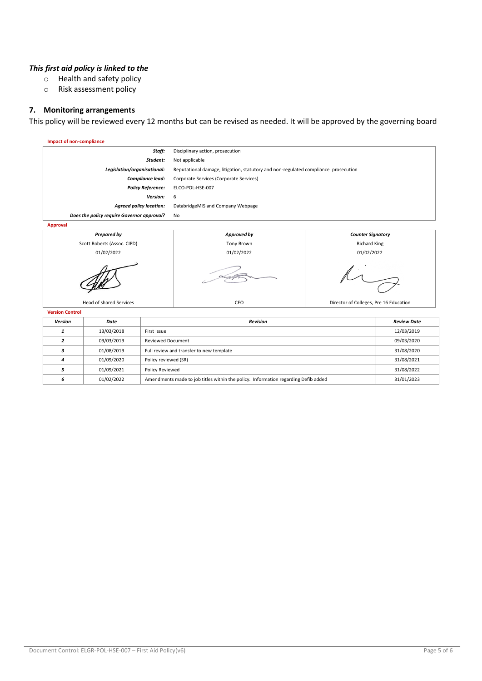#### *This first aid policy is linked to the*

- o Health and safety policy
- o Risk assessment policy

#### **7. Monitoring arrangements**

This policy will be reviewed every 12 months but can be revised as needed. It will be approved by the governing board



|   | 13/03/2018 | First Issue                                                                        | 12/03/2019 |
|---|------------|------------------------------------------------------------------------------------|------------|
|   | 09/03/2019 | Reviewed Document                                                                  | 09/03/2020 |
|   | 01/08/2019 | Full review and transfer to new template                                           | 31/08/2020 |
|   | 01/09/2020 | Policy reviewed (SR)                                                               | 31/08/2021 |
|   | 01/09/2021 | <b>Policy Reviewed</b>                                                             | 31/08/2022 |
| 6 | 01/02/2022 | Amendments made to job titles within the policy. Information regarding Defib added | 31/01/2023 |